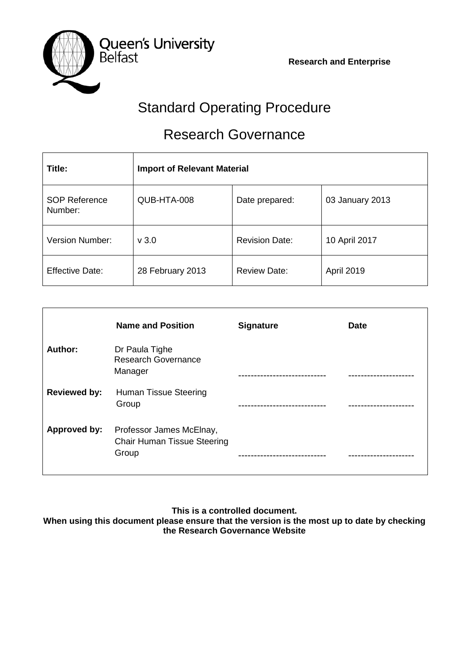**Research and Enterprise**



# Standard Operating Procedure

# Research Governance

| Title:                          | <b>Import of Relevant Material</b> |                       |                 |
|---------------------------------|------------------------------------|-----------------------|-----------------|
| <b>SOP Reference</b><br>Number: | QUB-HTA-008                        | Date prepared:        | 03 January 2013 |
| <b>Version Number:</b>          | v3.0                               | <b>Revision Date:</b> | 10 April 2017   |
| <b>Effective Date:</b>          | 28 February 2013                   | <b>Review Date:</b>   | April 2019      |

|                     | <b>Name and Position</b>                                                | <b>Signature</b>    | <b>Date</b> |
|---------------------|-------------------------------------------------------------------------|---------------------|-------------|
| Author:             | Dr Paula Tighe<br><b>Research Governance</b><br>Manager                 |                     |             |
| <b>Reviewed by:</b> | Human Tissue Steering<br>Group                                          | ------------------- | ----------  |
| Approved by:        | Professor James McElnay,<br><b>Chair Human Tissue Steering</b><br>Group | -------------       |             |

**This is a controlled document.**

**When using this document please ensure that the version is the most up to date by checking the Research Governance Website**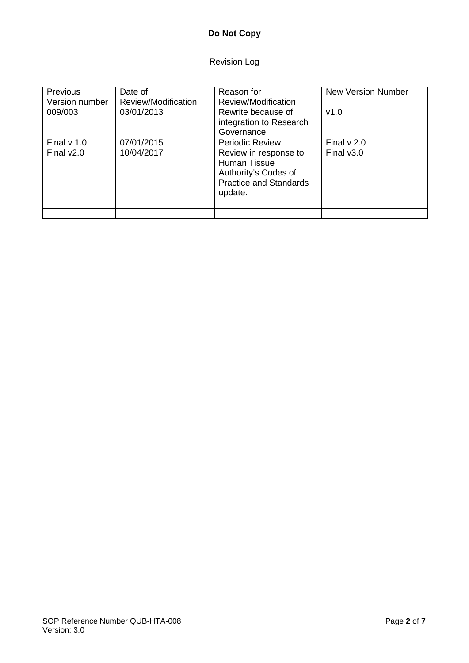# **Do Not Copy**

# Revision Log

| Previous<br>Version number | Date of<br>Review/Modification | Reason for<br>Review/Modification                                                                         | <b>New Version Number</b> |
|----------------------------|--------------------------------|-----------------------------------------------------------------------------------------------------------|---------------------------|
| 009/003                    | 03/01/2013                     | Rewrite because of<br>integration to Research<br>Governance                                               | v1.0                      |
| Final $v$ 1.0              | 07/01/2015                     | <b>Periodic Review</b>                                                                                    | Final $v$ 2.0             |
| Final $v2.0$               | 10/04/2017                     | Review in response to<br>Human Tissue<br>Authority's Codes of<br><b>Practice and Standards</b><br>update. | Final $v3.0$              |
|                            |                                |                                                                                                           |                           |
|                            |                                |                                                                                                           |                           |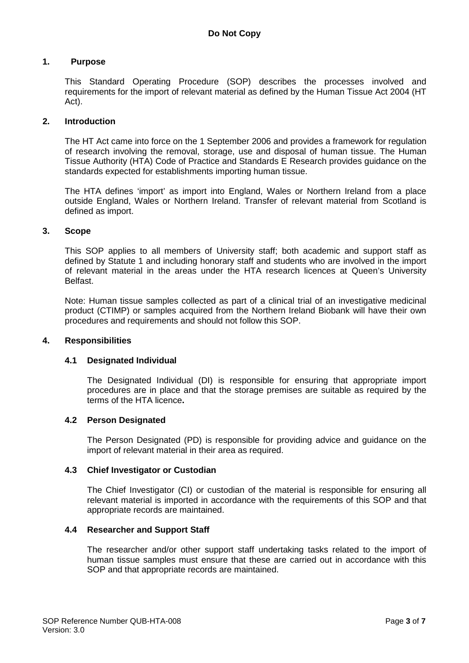#### **1. Purpose**

This Standard Operating Procedure (SOP) describes the processes involved and requirements for the import of relevant material as defined by the Human Tissue Act 2004 (HT Act).

#### **2. Introduction**

The HT Act came into force on the 1 September 2006 and provides a framework for regulation of research involving the removal, storage, use and disposal of human tissue. The Human Tissue Authority (HTA) Code of Practice and Standards E Research provides guidance on the standards expected for establishments importing human tissue.

The HTA defines 'import' as import into England, Wales or Northern Ireland from a place outside England, Wales or Northern Ireland. Transfer of relevant material from Scotland is defined as import.

#### **3. Scope**

This SOP applies to all members of University staff; both academic and support staff as defined by Statute 1 and including honorary staff and students who are involved in the import of relevant material in the areas under the HTA research licences at Queen's University Belfast.

Note: Human tissue samples collected as part of a clinical trial of an investigative medicinal product (CTIMP) or samples acquired from the Northern Ireland Biobank will have their own procedures and requirements and should not follow this SOP.

#### **4. Responsibilities**

#### **4.1 Designated Individual**

The Designated Individual (DI) is responsible for ensuring that appropriate import procedures are in place and that the storage premises are suitable as required by the terms of the HTA licence**.**

#### **4.2 Person Designated**

The Person Designated (PD) is responsible for providing advice and guidance on the import of relevant material in their area as required.

#### **4.3 Chief Investigator or Custodian**

The Chief Investigator (CI) or custodian of the material is responsible for ensuring all relevant material is imported in accordance with the requirements of this SOP and that appropriate records are maintained.

#### **4.4 Researcher and Support Staff**

The researcher and/or other support staff undertaking tasks related to the import of human tissue samples must ensure that these are carried out in accordance with this SOP and that appropriate records are maintained.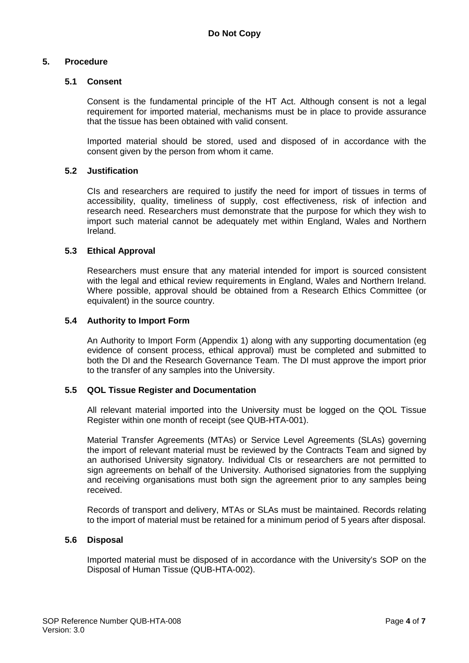#### **5. Procedure**

#### **5.1 Consent**

Consent is the fundamental principle of the HT Act. Although consent is not a legal requirement for imported material, mechanisms must be in place to provide assurance that the tissue has been obtained with valid consent.

Imported material should be stored, used and disposed of in accordance with the consent given by the person from whom it came.

#### **5.2 Justification**

CIs and researchers are required to justify the need for import of tissues in terms of accessibility, quality, timeliness of supply, cost effectiveness, risk of infection and research need. Researchers must demonstrate that the purpose for which they wish to import such material cannot be adequately met within England, Wales and Northern Ireland.

#### **5.3 Ethical Approval**

Researchers must ensure that any material intended for import is sourced consistent with the legal and ethical review requirements in England, Wales and Northern Ireland. Where possible, approval should be obtained from a Research Ethics Committee (or equivalent) in the source country.

#### **5.4 Authority to Import Form**

An Authority to Import Form (Appendix 1) along with any supporting documentation (eg evidence of consent process, ethical approval) must be completed and submitted to both the DI and the Research Governance Team. The DI must approve the import prior to the transfer of any samples into the University.

#### **5.5 QOL Tissue Register and Documentation**

All relevant material imported into the University must be logged on the QOL Tissue Register within one month of receipt (see QUB-HTA-001).

Material Transfer Agreements (MTAs) or Service Level Agreements (SLAs) governing the import of relevant material must be reviewed by the Contracts Team and signed by an authorised University signatory. Individual CIs or researchers are not permitted to sign agreements on behalf of the University. Authorised signatories from the supplying and receiving organisations must both sign the agreement prior to any samples being received.

Records of transport and delivery, MTAs or SLAs must be maintained. Records relating to the import of material must be retained for a minimum period of 5 years after disposal.

#### **5.6 Disposal**

Imported material must be disposed of in accordance with the University's SOP on the Disposal of Human Tissue (QUB-HTA-002).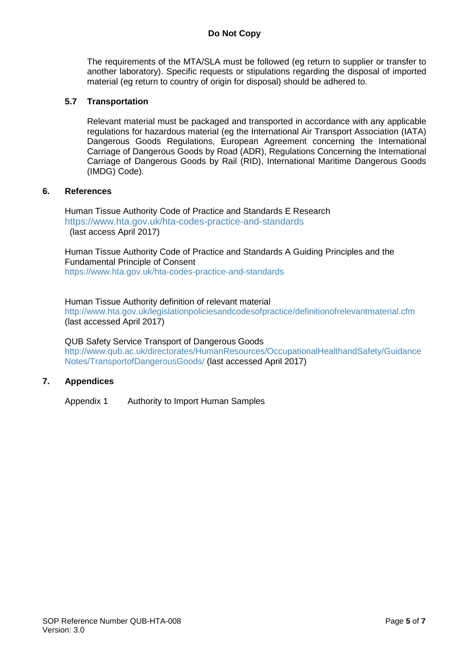# **Do Not Copy**

The requirements of the MTA/SLA must be followed (eg return to supplier or transfer to another laboratory). Specific requests or stipulations regarding the disposal of imported material (eg return to country of origin for disposal) should be adhered to.

#### **5.7 Transportation**

Relevant material must be packaged and transported in accordance with any applicable regulations for hazardous material (eg the International Air Transport Association (IATA) Dangerous Goods Regulations, European Agreement concerning the International Carriage of Dangerous Goods by Road (ADR), Regulations Concerning the International Carriage of Dangerous Goods by Rail (RID), International Maritime Dangerous Goods (IMDG) Code).

#### **6. References**

Human Tissue Authority Code of Practice and Standards E Research <https://www.hta.gov.uk/hta-codes-practice-and-standards> (last access April 2017)

Human Tissue Authority Code of Practice and Standards A Guiding Principles and the Fundamental Principle of Consent <https://www.hta.gov.uk/hta-codes-practice-and-standards>

Human Tissue Authority definition of relevant material <http://www.hta.gov.uk/legislationpoliciesandcodesofpractice/definitionofrelevantmaterial.cfm> (last accessed April 2017)

QUB Safety Service Transport of Dangerous Goods [http://www.qub.ac.uk/directorates/HumanResources/OccupationalHealthandSafety/Guidance](http://www.qub.ac.uk/directorates/HumanResources/OccupationalHealthandSafety/GuidanceNotes/TransportofDangerousGoods/) [Notes/TransportofDangerousGoods/](http://www.qub.ac.uk/directorates/HumanResources/OccupationalHealthandSafety/GuidanceNotes/TransportofDangerousGoods/) (last accessed April 2017)

#### **7. Appendices**

Appendix 1 Authority to Import Human Samples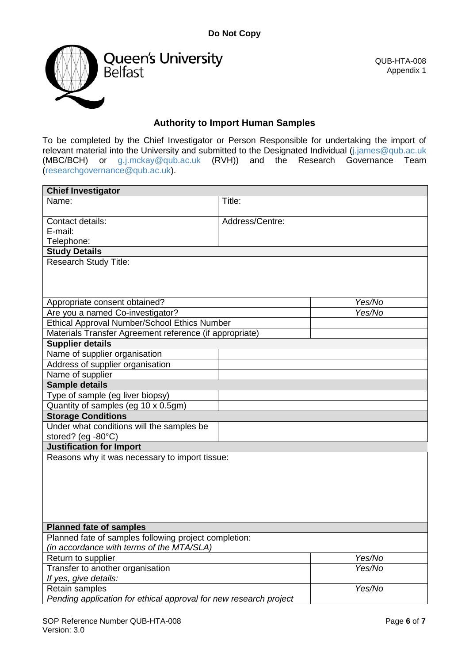

QUB-HTA-008 Appendix 1

# **Authority to Import Human Samples**

To be completed by the Chief Investigator or Person Responsible for undertaking the import of relevant material into the University and submitted to the Designated Individual [\(j.james@qub.ac.uk](mailto:j.james@qub.ac.uk) (MBC/BCH) or [g.j.mckay@qub.ac.uk](mailto:g.j.mckay@qub.ac.uk) (RVH)) and the Research Governance Team [\(researchgovernance@qub.ac.uk\)](mailto:researchgovernance@qub.ac.uk).

| <b>Chief Investigator</b>                                         |                 |        |  |
|-------------------------------------------------------------------|-----------------|--------|--|
| Name:                                                             | Title:          |        |  |
| Contact details:                                                  | Address/Centre: |        |  |
| E-mail:                                                           |                 |        |  |
| Telephone:                                                        |                 |        |  |
| <b>Study Details</b>                                              |                 |        |  |
| <b>Research Study Title:</b>                                      |                 |        |  |
| Appropriate consent obtained?                                     |                 | Yes/No |  |
| Are you a named Co-investigator?                                  |                 | Yes/No |  |
| Ethical Approval Number/School Ethics Number                      |                 |        |  |
| Materials Transfer Agreement reference (if appropriate)           |                 |        |  |
| <b>Supplier details</b>                                           |                 |        |  |
| Name of supplier organisation                                     |                 |        |  |
| Address of supplier organisation                                  |                 |        |  |
| Name of supplier                                                  |                 |        |  |
| <b>Sample details</b>                                             |                 |        |  |
| Type of sample (eg liver biopsy)                                  |                 |        |  |
| Quantity of samples (eg 10 x 0.5gm)                               |                 |        |  |
| <b>Storage Conditions</b>                                         |                 |        |  |
| Under what conditions will the samples be<br>stored? (eg -80°C)   |                 |        |  |
| <b>Justification for Import</b>                                   |                 |        |  |
| Reasons why it was necessary to import tissue:                    |                 |        |  |
| <b>Planned fate of samples</b>                                    |                 |        |  |
| Planned fate of samples following project completion:             |                 |        |  |
| (in accordance with terms of the MTA/SLA)                         |                 |        |  |
| Return to supplier                                                |                 | Yes/No |  |
| Transfer to another organisation                                  |                 | Yes/No |  |
| If yes, give details:                                             |                 |        |  |
| Retain samples                                                    |                 | Yes/No |  |
| Pending application for ethical approval for new research project |                 |        |  |